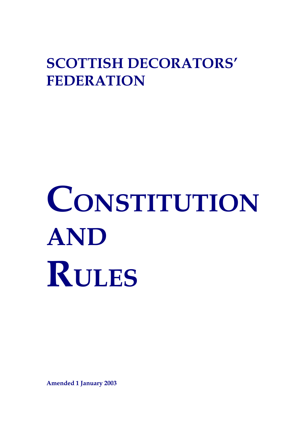## **SCOTTISH DECORATORS' FEDERATION**

# **CONSTITUTION AND RULES**

**Amended 1 January 2003**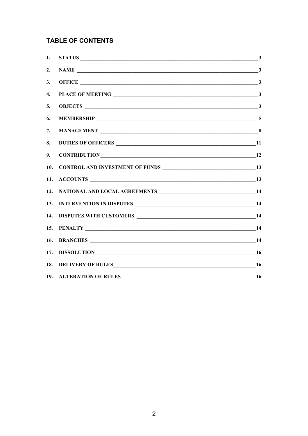### **TABLE OF CONTENTS**

| 1.  | $STATUS$ 3              |  |
|-----|-------------------------|--|
| 2.  |                         |  |
| 3.  |                         |  |
| 4.  |                         |  |
| 5.  |                         |  |
| 6.  |                         |  |
| 7.  |                         |  |
| 8.  |                         |  |
| 9.  | CONTRIBUTION 12         |  |
| 10. |                         |  |
| 11. |                         |  |
| 12. |                         |  |
| 13. |                         |  |
| 14. |                         |  |
| 15. |                         |  |
| 16. |                         |  |
| 17. |                         |  |
| 18. |                         |  |
|     | 19. ALTERATION OF RULES |  |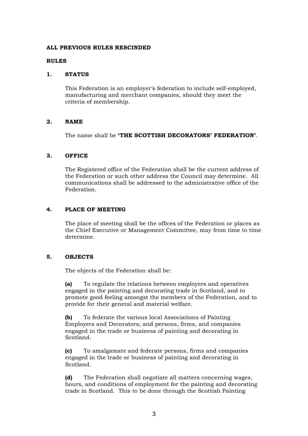#### **ALL PREVIOUS RULES RESCINDED**

#### **RULES**

#### **1. STATUS**

This Federation is an employer's federation to include self-employed, manufacturing and merchant companies, should they meet the criteria of membership.

#### **2. NAME**

The name shall be **'THE SCOTTISH DECORATORS' FEDERATION'**.

#### **3. OFFICE**

The Registered office of the Federation shall be the current address of the Federation or such other address the Council may determine. All communications shall be addressed to the administrative office of the Federation.

#### **4. PLACE OF MEETING**

The place of meeting shall be the offices of the Federation or places as the Chief Executive or Management Committee, may from time to time determine.

#### **5. OBJECTS**

The objects of the Federation shall be:

**(a)** To regulate the relations between employers and operatives engaged in the painting and decorating trade in Scotland, and to promote good feeling amongst the members of the Federation, and to provide for their general and material welfare.

**(b)** To federate the various local Associations of Painting Employers and Decorators; and persons, firms, and companies engaged in the trade or business of painting and decorating in Scotland.

**(c)** To amalgamate and federate persons, firms and companies engaged in the trade or business of painting and decorating in Scotland.

**(d)** The Federation shall negotiate all matters concerning wages, hours, and conditions of employment for the painting and decorating trade in Scotland. This to be done through the Scottish Painting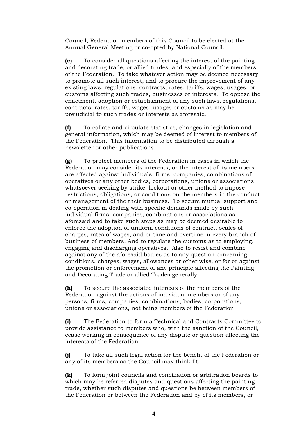Council, Federation members of this Council to be elected at the Annual General Meeting or co-opted by National Council.

**(e)** To consider all questions affecting the interest of the painting and decorating trade, or allied trades, and especially of the members of the Federation. To take whatever action may be deemed necessary to promote all such interest, and to procure the improvement of any existing laws, regulations, contracts, rates, tariffs, wages, usages, or customs affecting such trades, businesses or interests. To oppose the enactment, adoption or establishment of any such laws, regulations, contracts, rates, tariffs, wages, usages or customs as may be prejudicial to such trades or interests as aforesaid.

**(f)** To collate and circulate statistics, changes in legislation and general information, which may be deemed of interest to members of the Federation. This information to be distributed through a newsletter or other publications.

**(g)** To protect members of the Federation in cases in which the Federation may consider its interests, or the interest of its members are affected against individuals, firms, companies, combinations of operatives or any other bodies, corporations, unions or associations whatsoever seeking by strike, lockout or other method to impose restrictions, obligations, or conditions on the members in the conduct or management of the their business. To secure mutual support and co-operation in dealing with specific demands made by such individual firms, companies, combinations or associations as aforesaid and to take such steps as may be deemed desirable to enforce the adoption of uniform conditions of contract, scales of charges, rates of wages, and or time and overtime in every branch of business of members. And to regulate the customs as to employing, engaging and discharging operatives. Also to resist and combine against any of the aforesaid bodies as to any question concerning conditions, charges, wages, allowances or other wise, or for or against the promotion or enforcement of any principle affecting the Painting and Decorating Trade or allied Trades generally.

**(h)** To secure the associated interests of the members of the Federation against the actions of individual members or of any persons, firms, companies, combinations, bodies, corporations, unions or associations, not being members of the Federation

**(i)** The Federation to form a Technical and Contracts Committee to provide assistance to members who, with the sanction of the Council, cease working in consequence of any dispute or question affecting the interests of the Federation.

**(j)** To take all such legal action for the benefit of the Federation or any of its members as the Council may think fit.

**(k)** To form joint councils and conciliation or arbitration boards to which may be referred disputes and questions affecting the painting trade, whether such disputes and questions be between members of the Federation or between the Federation and by of its members, or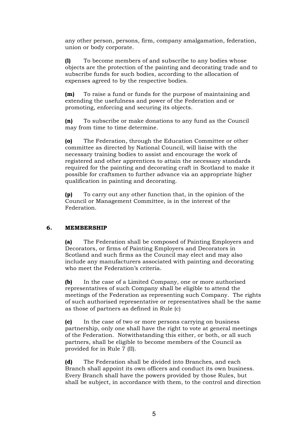any other person, persons, firm, company amalgamation, federation, union or body corporate.

**(l)** To become members of and subscribe to any bodies whose objects are the protection of the painting and decorating trade and to subscribe funds for such bodies, according to the allocation of expenses agreed to by the respective bodies.

**(m)** To raise a fund or funds for the purpose of maintaining and extending the usefulness and power of the Federation and or promoting, enforcing and securing its objects.

**(n)** To subscribe or make donations to any fund as the Council may from time to time determine.

**(o)** The Federation, through the Education Committee or other committee as directed by National Council, will liaise with the necessary training bodies to assist and encourage the work of registered and other apprentices to attain the necessary standards required for the painting and decorating craft in Scotland to make it possible for craftsmen to further advance via an appropriate higher qualification in painting and decorating.

**(p)** To carry out any other function that, in the opinion of the Council or Management Committee, is in the interest of the Federation.

#### **6. MEMBERSHIP**

**(a)** The Federation shall be composed of Painting Employers and Decorators, or firms of Painting Employers and Decorators in Scotland and such firms as the Council may elect and may also include any manufacturers associated with painting and decorating who meet the Federation's criteria.

**(b)** In the case of a Limited Company, one or more authorised representatives of such Company shall be eligible to attend the meetings of the Federation as representing such Company. The rights of such authorised representative or representatives shall be the same as those of partners as defined in Rule (c)

**(c)** In the case of two or more persons carrying on business partnership, only one shall have the right to vote at general meetings of the Federation. Notwithstanding this either, or both, or all such partners, shall be eligible to become members of the Council as provided for in Rule 7 (II).

**(d)** The Federation shall be divided into Branches, and each Branch shall appoint its own officers and conduct its own business. Every Branch shall have the powers provided by those Rules, but shall be subject, in accordance with them, to the control and direction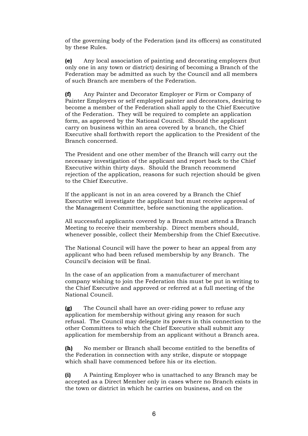of the governing body of the Federation (and its officers) as constituted by these Rules.

**(e)** Any local association of painting and decorating employers (but only one in any town or district) desiring of becoming a Branch of the Federation may be admitted as such by the Council and all members of such Branch are members of the Federation.

**(f)** Any Painter and Decorator Employer or Firm or Company of Painter Employers or self employed painter and decorators, desiring to become a member of the Federation shall apply to the Chief Executive of the Federation. They will be required to complete an application form, as approved by the National Council. Should the applicant carry on business within an area covered by a branch, the Chief Executive shall forthwith report the application to the President of the Branch concerned.

The President and one other member of the Branch will carry out the necessary investigation of the applicant and report back to the Chief Executive within thirty days. Should the Branch recommend rejection of the application, reasons for such rejection should be given to the Chief Executive.

If the applicant is not in an area covered by a Branch the Chief Executive will investigate the applicant but must receive approval of the Management Committee, before sanctioning the application.

All successful applicants covered by a Branch must attend a Branch Meeting to receive their membership. Direct members should, whenever possible, collect their Membership from the Chief Executive.

The National Council will have the power to hear an appeal from any applicant who had been refused membership by any Branch. The Council's decision will be final.

In the case of an application from a manufacturer of merchant company wishing to join the Federation this must be put in writing to the Chief Executive and approved or referred at a full meeting of the National Council.

**(g)** The Council shall have an over-riding power to refuse any application for membership without giving any reason for such refusal. The Council may delegate its powers in this connection to the other Committees to which the Chief Executive shall submit any application for membership from an applicant without a Branch area.

**(h)** No member or Branch shall become entitled to the benefits of the Federation in connection with any strike, dispute or stoppage which shall have commenced before his or its election.

**(i)** A Painting Employer who is unattached to any Branch may be accepted as a Direct Member only in cases where no Branch exists in the town or district in which he carries on business, and on the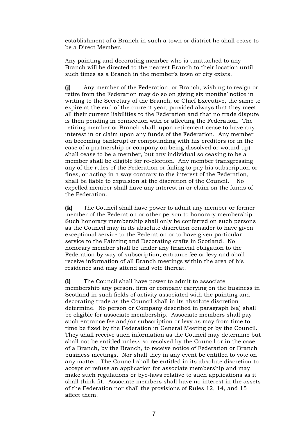establishment of a Branch in such a town or district he shall cease to be a Direct Member.

Any painting and decorating member who is unattached to any Branch will be directed to the nearest Branch to their location until such times as a Branch in the member's town or city exists.

**(j)** Any member of the Federation, or Branch, wishing to resign or retire from the Federation may do so on giving six months' notice in writing to the Secretary of the Branch, or Chief Executive, the same to expire at the end of the current year, provided always that they meet all their current liabilities to the Federation and that no trade dispute is then pending in connection with or affecting the Federation. The retiring member or Branch shall, upon retirement cease to have any interest in or claim upon any funds of the Federation. Any member on becoming bankrupt or compounding with his creditors (or in the case of a partnership or company on being dissolved or wound up) shall cease to be a member, but any individual so ceasing to be a member shall be eligible for re-election. Any member transgressing any of the rules of the Federation or failing to pay his subscription or fines, or acting in a way contrary to the interest of the Federation, shall be liable to expulsion at the discretion of the Council. No expelled member shall have any interest in or claim on the funds of the Federation.

**(k)** The Council shall have power to admit any member or former member of the Federation or other person to honorary membership. Such honorary membership shall only be conferred on such persons as the Council may in its absolute discretion consider to have given exceptional service to the Federation or to have given particular service to the Painting and Decorating crafts in Scotland. No honorary member shall be under any financial obligation to the Federation by way of subscription, entrance fee or levy and shall receive information of all Branch meetings within the area of his residence and may attend and vote thereat.

**(l)** The Council shall have power to admit to associate membership any person, firm or company carrying on the business in Scotland in such fields of activity associated with the painting and decorating trade as the Council shall in its absolute discretion determine. No person or Company described in paragraph 6(a) shall be eligible for associate membership. Associate members shall pay such entrance fee and/or subscription or levy as may from time to time be fixed by the Federation in General Meeting or by the Council. They shall receive such information as the Council may determine but shall not be entitled unless so resolved by the Council or in the case of a Branch, by the Branch, to receive notice of Federation or Branch business meetings. Nor shall they in any event be entitled to vote on any matter. The Council shall be entitled in its absolute discretion to accept or refuse an application for associate membership and may make such regulations or bye-laws relative to such applications as it shall think fit. Associate members shall have no interest in the assets of the Federation nor shall the provisions of Rules 12, 14, and 15 affect them.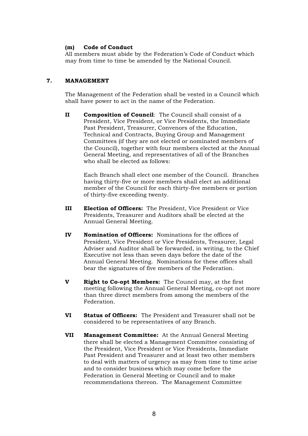#### **(m) Code of Conduct**

All members must abide by the Federation's Code of Conduct which may from time to time be amended by the National Council.

#### **7. MANAGEMENT**

The Management of the Federation shall be vested in a Council which shall have power to act in the name of the Federation.

**II Composition of Council**: The Council shall consist of a President, Vice President, or Vice Presidents, the Immediate Past President, Treasurer, Convenors of the Education, Technical and Contracts, Buying Group and Management Committees (if they are not elected or nominated members of the Council), together with four members elected at the Annual General Meeting, and representatives of all of the Branches who shall be elected as follows:

Each Branch shall elect one member of the Council. Branches having thirty-five or more members shall elect an additional member of the Council for each thirty-five members or portion of thirty-five exceeding twenty.

- **III Election of Officers:** The President, Vice President or Vice Presidents, Treasurer and Auditors shall be elected at the Annual General Meeting.
- **IV Nomination of Officers:** Nominations for the offices of President, Vice President or Vice Presidents, Treasurer, Legal Adviser and Auditor shall be forwarded, in writing, to the Chief Executive not less than seven days before the date of the Annual General Meeting. Nominations for these offices shall bear the signatures of five members of the Federation.
- **V Right to Co-opt Members:** The Council may, at the first meeting following the Annual General Meeting, co-opt not more than three direct members from among the members of the Federation.
- **VI Status of Officers:** The President and Treasurer shall not be considered to be representatives of any Branch.
- **VII Management Committee:** At the Annual General Meeting there shall be elected a Management Committee consisting of the President, Vice President or Vice Presidents, Immediate Past President and Treasurer and at least two other members to deal with matters of urgency as may from time to time arise and to consider business which may come before the Federation in General Meeting or Council and to make recommendations thereon. The Management Committee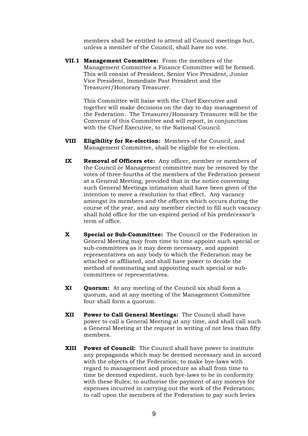members shall be entitled to attend all Council meetings but, unless a member of the Council, shall have no vote.

**VII.1 Management Committee:** From the members of the Management Committee a Finance Committee will be formed. This will consist of President, Senior Vice President, Junior Vice President, Immediate Past President and the Treasurer/Honorary Treasurer.

This Committee will liaise with the Chief Executive and together will make decisions on the day to day management of the Federation. The Treasurer/Honorary Treasurer will be the Convenor of this Committee and will report, in conjunction with the Chief Executive, to the National Council.

- **VIII Eligibility for Re-election:** Members of the Council, and Management Committee, shall be eligible for re-election.
- **IX Removal of Officers etc:** Any officer, member or members of the Council or Management committee may be removed by the votes of three-fourths of the members of the Federation present at a General Meeting, provided that in the notice convening such General Meetings intimation shall have been given of the intention to move a resolution to that effect. Any vacancy amongst its members and the officers which occurs during the course of the year, and any member elected to fill such vacancy shall hold office for the un-expired period of his predecessor's term of office.
- **X Special or Sub-Committee:** The Council or the Federation in General Meeting may from time to time appoint such special or sub-committees as it may deem necessary, and appoint representatives on any body to which the Federation may be attached or affiliated, and shall have power to decide the method of nominating and appointing such special or subcommittees or representatives.
- **XI Quorum:** At any meeting of the Council six shall form a quorum, and at any meeting of the Management Committee four shall form a quorum.
- **XII Power to Call General Meetings:** The Council shall have power to call a General Meeting at any time, and shall call such a General Meeting at the request in writing of not less than fifty members.
- **XIII Power of Council:** The Council shall have power to institute any propaganda which may be deemed necessary and in accord with the objects of the Federation; to make bye-laws with regard to management and procedure as shall from time to time be deemed expedient, such bye-laws to be in conformity with these Rules; to authorise the payment of any moneys for expenses incurred in carrying out the work of the Federation; to call upon the members of the Federation to pay such levies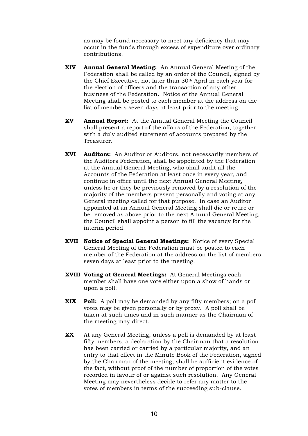as may be found necessary to meet any deficiency that may occur in the funds through excess of expenditure over ordinary contributions.

- **XIV Annual General Meeting:** An Annual General Meeting of the Federation shall be called by an order of the Council, signed by the Chief Executive, not later than 30th April in each year for the election of officers and the transaction of any other business of the Federation. Notice of the Annual General Meeting shall be posted to each member at the address on the list of members seven days at least prior to the meeting.
- **XV Annual Report:** At the Annual General Meeting the Council shall present a report of the affairs of the Federation, together with a duly audited statement of accounts prepared by the Treasurer.
- **XVI Auditors:** An Auditor or Auditors, not necessarily members of the Auditors Federation, shall be appointed by the Federation at the Annual General Meeting, who shall audit all the Accounts of the Federation at least once in every year, and continue in office until the next Annual General Meeting, unless he or they be previously removed by a resolution of the majority of the members present personally and voting at any General meeting called for that purpose. In case an Auditor appointed at an Annual General Meeting shall die or retire or be removed as above prior to the next Annual General Meeting, the Council shall appoint a person to fill the vacancy for the interim period.
- **XVII Notice of Special General Meetings:** Notice of every Special General Meeting of the Federation must be posted to each member of the Federation at the address on the list of members seven days at least prior to the meeting.
- **XVIII Voting at General Meetings:** At General Meetings each member shall have one vote either upon a show of hands or upon a poll.
- **XIX Poll:** A poll may be demanded by any fifty members; on a poll votes may be given personally or by proxy. A poll shall be taken at such times and in such manner as the Chairman of the meeting may direct.
- **XX** At any General Meeting, unless a poll is demanded by at least fifty members, a declaration by the Chairman that a resolution has been carried or carried by a particular majority, and an entry to that effect in the Minute Book of the Federation, signed by the Chairman of the meeting, shall be sufficient evidence of the fact, without proof of the number of proportion of the votes recorded in favour of or against such resolution. Any General Meeting may nevertheless decide to refer any matter to the votes of members in terms of the succeeding sub-clause.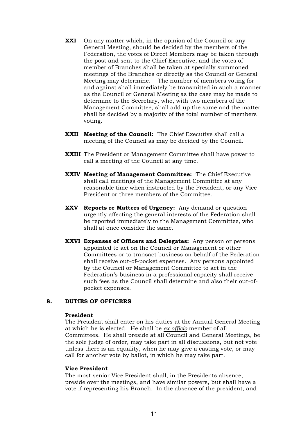- **XXI** On any matter which, in the opinion of the Council or any General Meeting, should be decided by the members of the Federation, the votes of Direct Members may be taken through the post and sent to the Chief Executive, and the votes of member of Branches shall be taken at specially summoned meetings of the Branches or directly as the Council or General Meeting may determine. The number of members voting for and against shall immediately be transmitted in such a manner as the Council or General Meeting as the case may be made to determine to the Secretary, who, with two members of the Management Committee, shall add up the same and the matter shall be decided by a majority of the total number of members voting.
- **XXII Meeting of the Council:** The Chief Executive shall call a meeting of the Council as may be decided by the Council.
- **XXIII** The President or Management Committee shall have power to call a meeting of the Council at any time.
- **XXIV Meeting of Management Committee:** The Chief Executive shall call meetings of the Management Committee at any reasonable time when instructed by the President, or any Vice President or three members of the Committee.
- **XXV Reports re Matters of Urgency:** Any demand or question urgently affecting the general interests of the Federation shall be reported immediately to the Management Committee, who shall at once consider the same.
- **XXVI Expenses of Officers and Delegates:** Any person or persons appointed to act on the Council or Management or other Committees or to transact business on behalf of the Federation shall receive out-of–pocket expenses. Any persons appointed by the Council or Management Committee to act in the Federation's business in a professional capacity shall receive such fees as the Council shall determine and also their out-ofpocket expenses.

#### **8. DUTIES OF OFFICERS**

#### **President**

The President shall enter on his duties at the Annual General Meeting at which he is elected. He shall be *ex officio* member of all Committees. He shall preside at all Council and General Meetings, be the sole judge of order, may take part in all discussions, but not vote unless there is an equality, when he may give a casting vote, or may call for another vote by ballot, in which he may take part.

#### **Vice President**

The most senior Vice President shall, in the Presidents absence, preside over the meetings, and have similar powers, but shall have a vote if representing his Branch. In the absence of the president, and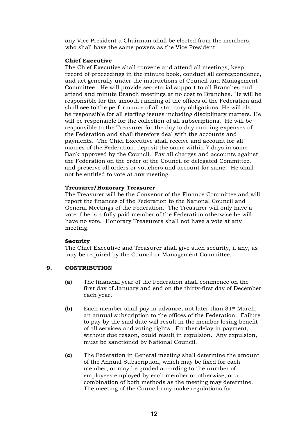any Vice President a Chairman shall be elected from the members, who shall have the same powers as the Vice President.

#### **Chief Executive**

The Chief Executive shall convene and attend all meetings, keep record of proceedings in the minute book, conduct all correspondence, and act generally under the instructions of Council and Management Committee. He will provide secretarial support to all Branches and attend and minute Branch meetings at no cost to Branches. He will be responsible for the smooth running of the offices of the Federation and shall see to the performance of all statutory obligations. He will also be responsible for all staffing issues including disciplinary matters. He will be responsible for the collection of all subscriptions. He will be responsible to the Treasurer for the day to day running expenses of the Federation and shall therefore deal with the accounts and payments. The Chief Executive shall receive and account for all monies of the Federation, deposit the same within 7 days in some Bank approved by the Council. Pay all charges and accounts against the Federation on the order of the Council or delegated Committee, and preserve all orders or vouchers and account for same. He shall not be entitled to vote at any meeting.

#### **Treasurer/Honorary Treasurer**

The Treasurer will be the Convenor of the Finance Committee and will report the finances of the Federation to the National Council and General Meetings of the Federation. The Treasurer will only have a vote if he is a fully paid member of the Federation otherwise he will have no vote. Honorary Treasurers shall not have a vote at any meeting.

#### **Security**

The Chief Executive and Treasurer shall give such security, if any, as may be required by the Council or Management Committee.

#### **9. CONTRIBUTION**

- **(a)** The financial year of the Federation shall commence on the first day of January and end on the thirty-first day of December each year.
- **(b)** Each member shall pay in advance, not later than 31st March, an annual subscription to the offices of the Federation. Failure to pay by the said date will result in the member losing benefit of all services and voting rights. Further delay in payment, without due reason, could result in expulsion. Any expulsion, must be sanctioned by National Council.
- **(c)** The Federation in General meeting shall determine the amount of the Annual Subscription, which may be fixed for each member, or may be graded according to the number of employees employed by each member or otherwise, or a combination of both methods as the meeting may determine. The meeting of the Council may make regulations for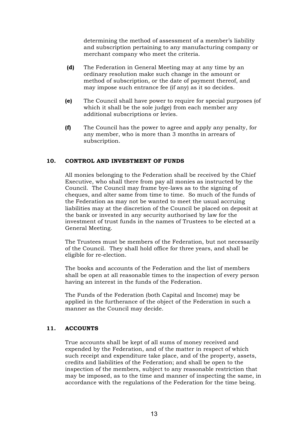determining the method of assessment of a member's liability and subscription pertaining to any manufacturing company or merchant company who meet the criteria.

- **(d)** The Federation in General Meeting may at any time by an ordinary resolution make such change in the amount or method of subscription, or the date of payment thereof, and may impose such entrance fee (if any) as it so decides.
- **(e)** The Council shall have power to require for special purposes (of which it shall be the sole judge) from each member any additional subscriptions or levies.
- **(f)** The Council has the power to agree and apply any penalty, for any member, who is more than 3 months in arrears of subscription.

#### **10. CONTROL AND INVESTMENT OF FUNDS**

All monies belonging to the Federation shall be received by the Chief Executive, who shall there from pay all monies as instructed by the Council. The Council may frame bye-laws as to the signing of cheques, and alter same from time to time. So much of the funds of the Federation as may not be wanted to meet the usual accruing liabilities may at the discretion of the Council be placed on deposit at the bank or invested in any security authorised by law for the investment of trust funds in the names of Trustees to be elected at a General Meeting.

The Trustees must be members of the Federation, but not necessarily of the Council. They shall hold office for three years, and shall be eligible for re-election.

The books and accounts of the Federation and the list of members shall be open at all reasonable times to the inspection of every person having an interest in the funds of the Federation.

The Funds of the Federation (both Capital and Income) may be applied in the furtherance of the object of the Federation in such a manner as the Council may decide.

#### **11. ACCOUNTS**

True accounts shall be kept of all sums of money received and expended by the Federation, and of the matter in respect of which such receipt and expenditure take place, and of the property, assets, credits and liabilities of the Federation; and shall be open to the inspection of the members, subject to any reasonable restriction that may be imposed, as to the time and manner of inspecting the same, in accordance with the regulations of the Federation for the time being.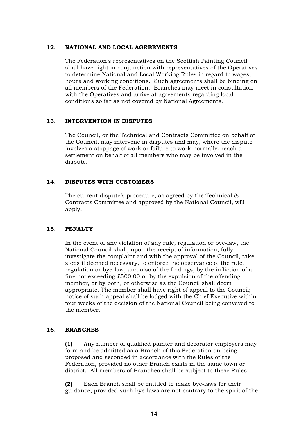#### **12. NATIONAL AND LOCAL AGREEMENTS**

The Federation's representatives on the Scottish Painting Council shall have right in conjunction with representatives of the Operatives to determine National and Local Working Rules in regard to wages, hours and working conditions. Such agreements shall be binding on all members of the Federation. Branches may meet in consultation with the Operatives and arrive at agreements regarding local conditions so far as not covered by National Agreements.

#### **13. INTERVENTION IN DISPUTES**

The Council, or the Technical and Contracts Committee on behalf of the Council, may intervene in disputes and may, where the dispute involves a stoppage of work or failure to work normally, reach a settlement on behalf of all members who may be involved in the dispute.

#### **14. DISPUTES WITH CUSTOMERS**

The current dispute's procedure, as agreed by the Technical & Contracts Committee and approved by the National Council, will apply.

#### **15. PENALTY**

In the event of any violation of any rule, regulation or bye-law, the National Council shall, upon the receipt of information, fully investigate the complaint and with the approval of the Council, take steps if deemed necessary, to enforce the observance of the rule, regulation or bye-law, and also of the findings, by the infliction of a fine not exceeding £500.00 or by the expulsion of the offending member, or by both, or otherwise as the Council shall deem appropriate. The member shall have right of appeal to the Council; notice of such appeal shall be lodged with the Chief Executive within four weeks of the decision of the National Council being conveyed to the member.

#### **16. BRANCHES**

**(1)** Any number of qualified painter and decorator employers may form and be admitted as a Branch of this Federation on being proposed and seconded in accordance with the Rules of the Federation, provided no other Branch exists in the same town or district. All members of Branches shall be subject to these Rules

**(2)** Each Branch shall be entitled to make bye-laws for their guidance, provided such bye-laws are not contrary to the spirit of the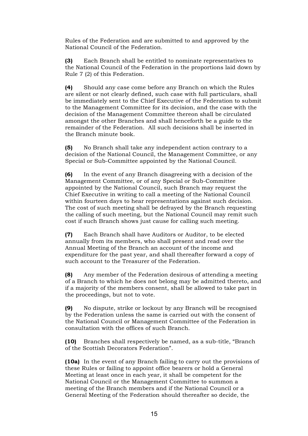Rules of the Federation and are submitted to and approved by the National Council of the Federation.

**(3)** Each Branch shall be entitled to nominate representatives to the National Council of the Federation in the proportions laid down by Rule 7 (2) of this Federation.

**(4)** Should any case come before any Branch on which the Rules are silent or not clearly defined, such case with full particulars, shall be immediately sent to the Chief Executive of the Federation to submit to the Management Committee for its decision, and the case with the decision of the Management Committee thereon shall be circulated amongst the other Branches and shall henceforth be a guide to the remainder of the Federation. All such decisions shall be inserted in the Branch minute book.

**(5)** No Branch shall take any independent action contrary to a decision of the National Council, the Management Committee, or any Special or Sub-Committee appointed by the National Council.

**(6)** In the event of any Branch disagreeing with a decision of the Management Committee, or of any Special or Sub-Committee appointed by the National Council, such Branch may request the Chief Executive in writing to call a meeting of the National Council within fourteen days to hear representations against such decision. The cost of such meeting shall be defrayed by the Branch requesting the calling of such meeting, but the National Council may remit such cost if such Branch shows just cause for calling such meeting.

**(7)** Each Branch shall have Auditors or Auditor, to be elected annually from its members, who shall present and read over the Annual Meeting of the Branch an account of the income and expenditure for the past year, and shall thereafter forward a copy of such account to the Treasurer of the Federation.

**(8)** Any member of the Federation desirous of attending a meeting of a Branch to which he does not belong may be admitted thereto, and if a majority of the members consent, shall be allowed to take part in the proceedings, but not to vote.

**(9)** No dispute, strike or lockout by any Branch will be recognised by the Federation unless the same is carried out with the consent of the National Council or Management Committee of the Federation in consultation with the offices of such Branch.

**(10)** Branches shall respectively be named, as a sub-title, "Branch of the Scottish Decorators Federation".

**(10a)** In the event of any Branch failing to carry out the provisions of these Rules or failing to appoint office bearers or hold a General Meeting at least once in each year, it shall be competent for the National Council or the Management Committee to summon a meeting of the Branch members and if the National Council or a General Meeting of the Federation should thereafter so decide, the